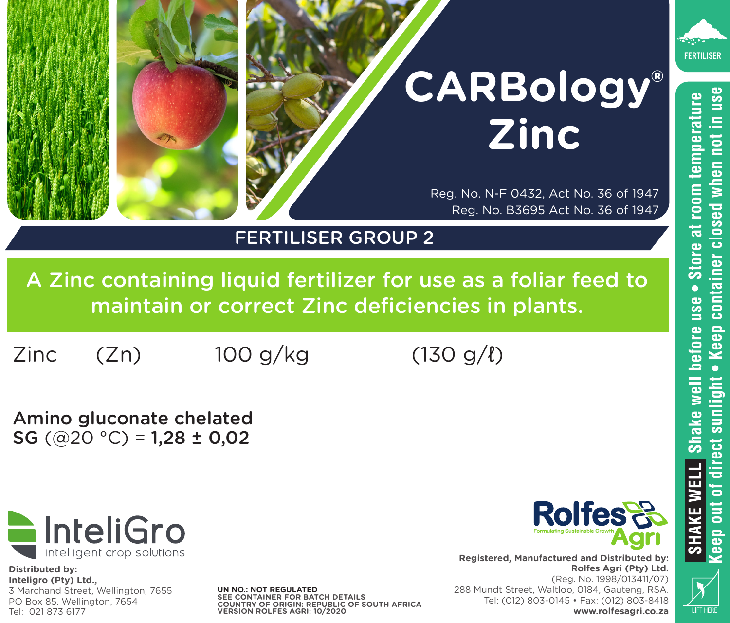

• Keep container closed when not in use before use . Store at room temperature

# **CARBology® Zinc**

Reg. No. N-F 0432, Act No. 36 of 1947 Reg. No. B3695 Act No. 36 of 1947

## FERTILISER GROUP 2

A Zinc containing liquid fertilizer for use as a foliar feed to maintain or correct Zinc deficiencies in plants.

 $Zinc$  (Zn)  $100 \frac{q}{kq}$  (130 g/ $\ell$ )

Amino gluconate chelated SG  $(Q20 °C) = 1,28 \pm 0,02$ 



**Distributed by: Inteligro (Pty) Ltd.,** 3 Marchand Street, Wellington, 7655 PO Box 85, Wellington, 7654<br>Tel: 021 873 6177

**UN NO.: NOT REGULATED SEE CONTAINER FOR BATCH DETAILS COUNTRY OF ORIGIN: REPUBLIC OF SOUTH AFRICA** Tel: 021 873 6177 **VERSION ROLFES AGRI: 10/2020**



**www.rolfesagri.co.za**

**Registered, Manufactured and Distributed by: Rolfes Agri (Pty) Ltd.**  (Reg. No. 1998/013411/07) 288 Mundt Street, Waltloo, 0184, Gauteng, RSA. Tel: (012) 803-0145 • Fax: (012) 803-8418



Shake well

**SHAKE WELL Shake well**<br>Ceep out of direct sunlight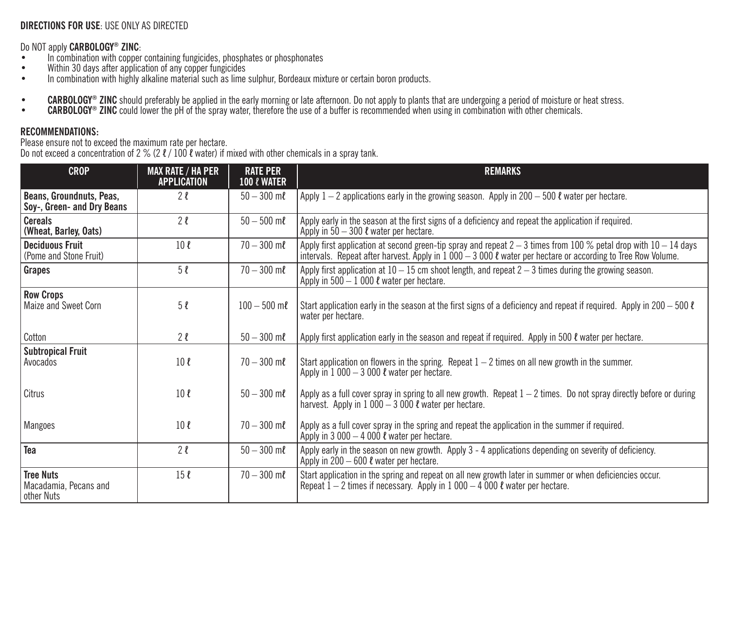### **DIRECTIONS FOR USE**: USE ONLY AS DIRECTED

- 
- 
- Do NOT apply CARBOLOGY® ZINC:<br>• In combination with copper containing fungicides, phosphates or phosphonates<br>• Within 30 days after application of any copper fungicides<br>• In combination with highly alkaline material such a
- CARBOLOGY® ZINC should preferably be applied in the early morning or late afternoon. Do not apply to plants that are undergoing a period of moisture or heat stress.<br>• CARBOLOGY® ZINC could lower the pH of the spray water
- 

#### **RECOMMENDATIONS:**

Please ensure not to exceed the maximum rate per hectare. Do not exceed a concentration of 2 % (2 ℓ / 100 ℓ water) if mixed with other chemicals in a spray tank.

| <b>CROP</b>                                             | <b>MAX RATE / HA PER</b><br><b>APPLICATION</b> | <b>RATE PER</b><br><b>100 &amp; WATER</b> | <b>REMARKS</b>                                                                                                                                                                                                                        |
|---------------------------------------------------------|------------------------------------------------|-------------------------------------------|---------------------------------------------------------------------------------------------------------------------------------------------------------------------------------------------------------------------------------------|
| Beans, Groundnuts, Peas,<br>Soy-, Green- and Dry Beans  | 2l                                             | $50 - 300$ ml                             | Apply 1 – 2 applications early in the growing season. Apply in 200 – 500 $\ell$ water per hectare.                                                                                                                                    |
| <b>Cereals</b><br>(Wheat, Barley, Oats)                 | 2l                                             | $50 - 500$ ml                             | Apply early in the season at the first signs of a deficiency and repeat the application if required.<br>Apply in $50 - 300$ $\ell$ water per hectare.                                                                                 |
| <b>Deciduous Fruit</b><br>(Pome and Stone Fruit)        | 10 <sub>l</sub>                                | $70 - 300$ ml                             | Apply first application at second green-tip spray and repeat $2-3$ times from 100 % petal drop with $10-14$ days<br>intervals. Repeat after harvest. Apply in $1000 - 3000$ $\ell$ water per hectare or according to Tree Row Volume. |
| Grapes                                                  | 5l                                             | $70 - 300$ ml                             | Apply first application at $10 - 15$ cm shoot length, and repeat $2 - 3$ times during the growing season.<br>Apply in $500 - 1000$ $\ell$ water per hectare.                                                                          |
| <b>Row Crops</b><br>Maize and Sweet Corn                | 5l                                             | $100 - 500$ m $\ell$                      | Start application early in the season at the first signs of a deficiency and repeat if required. Apply in 200 – 500 $\ell$<br>water per hectare.                                                                                      |
| Cotton                                                  | 2l                                             | $50 - 300$ ml                             | Apply first application early in the season and repeat if required. Apply in 500 $\ell$ water per hectare.                                                                                                                            |
| <b>Subtropical Fruit</b><br>Avocados                    | 10 <sub>l</sub>                                | $70 - 300$ m $\ell$                       | Start application on flowers in the spring. Repeat $1 - 2$ times on all new growth in the summer.<br>Apply in $1000 - 3000$ $\ell$ water per hectare.                                                                                 |
| Citrus                                                  | 10 <sub>l</sub>                                | $50 - 300$ m $\ell$                       | Apply as a full cover spray in spring to all new growth. Repeat $1-2$ times. Do not spray directly before or during<br>harvest. Apply in $1000 - 3000$ $\ell$ water per hectare.                                                      |
| Mangoes                                                 | 10 <sub>l</sub>                                | $70 - 300$ ml                             | Apply as a full cover spray in the spring and repeat the application in the summer if required.<br>Apply in 3 000 $-$ 4 000 $\ell$ water per hectare.                                                                                 |
| Tea                                                     | 2l                                             | $50 - 300$ ml                             | Apply early in the season on new growth. Apply 3 - 4 applications depending on severity of deficiency.<br>Apply in $200 - 600$ $\ell$ water per hectare.                                                                              |
| <b>Tree Nuts</b><br>Macadamia, Pecans and<br>other Nuts | 15 <sub>l</sub>                                | $70 - 300$ ml                             | Start application in the spring and repeat on all new growth later in summer or when deficiencies occur.<br>Repeat $1-2$ times if necessary. Apply in $1000-4000$ $\ell$ water per hectare.                                           |